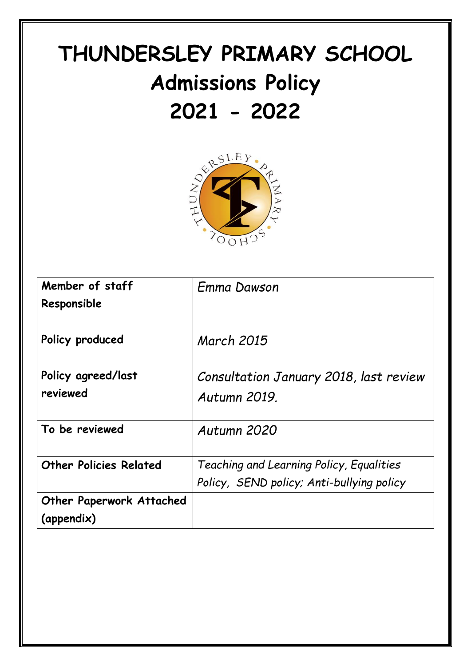# **THUNDERSLEY PRIMARY SCHOOL Admissions Policy**



| Member of staff                 | <b>Emma Dawson</b>                        |
|---------------------------------|-------------------------------------------|
| Responsible                     |                                           |
| Policy produced                 | <b>March 2015</b>                         |
| Policy agreed/last              | Consultation January 2018, last review    |
| reviewed                        | Autumn 2019                               |
| To be reviewed                  | Autumn 2020                               |
| <b>Other Policies Related</b>   | Teaching and Learning Policy, Equalities  |
|                                 | Policy, SEND policy; Anti-bullying policy |
| <b>Other Paperwork Attached</b> |                                           |
| (appendix)                      |                                           |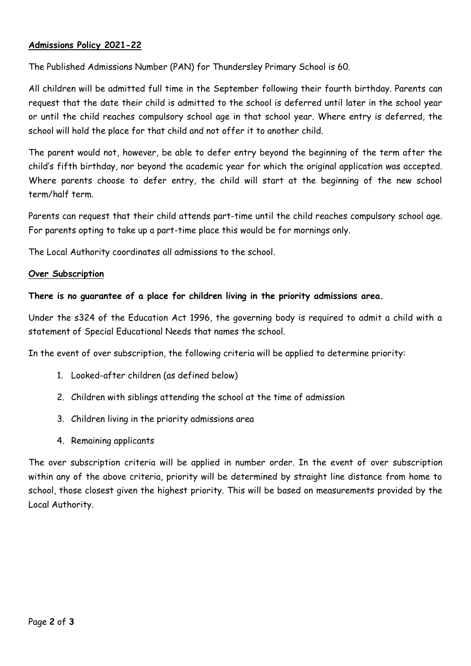## **Admissions Policy 2021-22**

The Published Admissions Number (PAN) for Thundersley Primary School is 60.

All children will be admitted full time in the September following their fourth birthday. Parents can request that the date their child is admitted to the school is deferred until later in the school year or until the child reaches compulsory school age in that school year. Where entry is deferred, the school will hold the place for that child and not offer it to another child.

The parent would not, however, be able to defer entry beyond the beginning of the term after the child's fifth birthday, nor beyond the academic year for which the original application was accepted. Where parents choose to defer entry, the child will start at the beginning of the new school term/half term.

Parents can request that their child attends part-time until the child reaches compulsory school age. For parents opting to take up a part-time place this would be for mornings only.

The Local Authority coordinates all admissions to the school.

#### **Over Subscription**

## **There is no guarantee of a place for children living in the priority admissions area.**

Under the s324 of the Education Act 1996, the governing body is required to admit a child with a statement of Special Educational Needs that names the school.

In the event of over subscription, the following criteria will be applied to determine priority:

- 1. Looked-after children (as defined below)
- 2. Children with siblings attending the school at the time of admission
- 3. Children living in the priority admissions area
- 4. Remaining applicants

The over subscription criteria will be applied in number order. In the event of over subscription within any of the above criteria, priority will be determined by straight line distance from home to school, those closest given the highest priority. This will be based on measurements provided by the Local Authority.